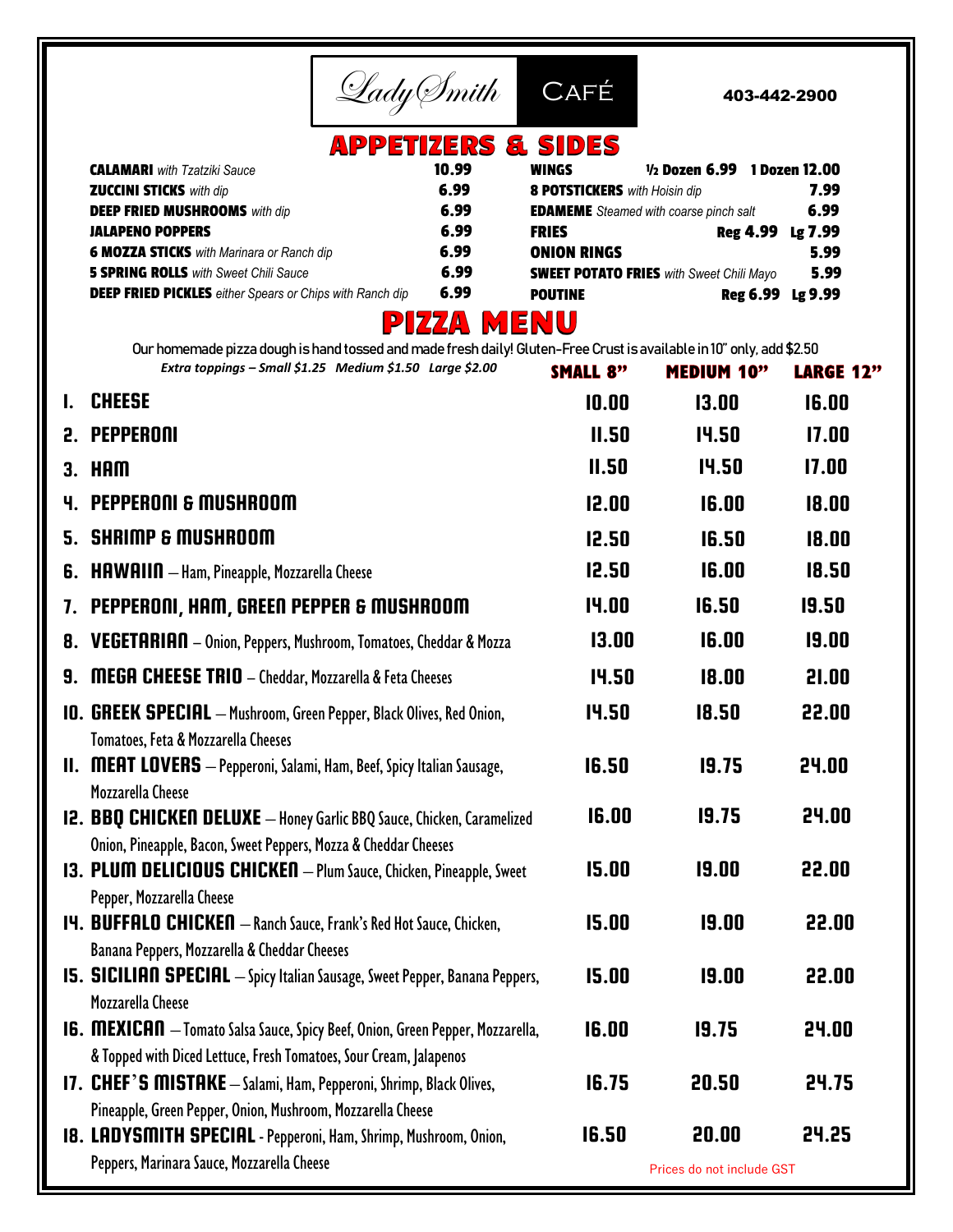

403-442-2900

## **APPETIZERS & SIDES**

| <b>CALAMARI</b> with Tzatziki Sauce                             | 10.99 | 1/2 Dozen 6.99 1 Dozen 12.00<br>WINGS           |         |
|-----------------------------------------------------------------|-------|-------------------------------------------------|---------|
| <b>ZUCCINI STICKS</b> with dip                                  | 6.99  | <b>8 POTSTICKERS</b> with Hoisin dip            | 7.99    |
| <b>DEEP FRIED MUSHROOMS</b> with dip                            | 6.99  | <b>EDAMEME</b> Steamed with coarse pinch salt   | 6.99    |
| <b>JALAPENO POPPERS</b>                                         | 6.99  | Reg 4.99<br><b>FRIES</b>                        | Lg 7.99 |
| <b>6 MOZZA STICKS</b> with Marinara or Ranch dip                | 6.99  | <b>ONION RINGS</b>                              | 5.99    |
| <b>5 SPRING ROLLS</b> with Sweet Chili Sauce                    | 6.99  | <b>SWEET POTATO FRIES</b> with Sweet Chili Mayo | 5.99    |
| <b>DEEP FRIED PICKLES</b> either Spears or Chips with Ranch dip | 6.99  | Reg 6.99 Lg 9.99<br><b>POUTINE</b>              |         |
|                                                                 |       |                                                 |         |

## **PIZZA MENU**

Our homemade pizza dough is hand tossed and made fresh daily! Gluten-Free Crust is available in 10" only, add \$2.50 *Extra toppings – Small \$1.25 Medium \$1.50 Large \$2.00* SMALL 8" **MEDIUM 10" LARGE 12"** 

|    | <b>CHEESE</b>                                                                                                                                                        | 10.00        | 13.00                     | 16.00 |
|----|----------------------------------------------------------------------------------------------------------------------------------------------------------------------|--------------|---------------------------|-------|
|    | 2. PEPPERONI                                                                                                                                                         | II.50        | 14.50                     | 17.00 |
|    | $3.$ HAM                                                                                                                                                             | II.50        | <b>14.50</b>              | 17.00 |
|    | <b>4. PEPPERONI &amp; MUSHROOM</b>                                                                                                                                   | 12.00        | 16.00                     | 18.00 |
|    | <b>5. SHRIMP &amp; MUSHROOM</b>                                                                                                                                      | 12.50        | 16.50                     | 18.00 |
| 6. | <b>HAWAIIN</b> - Ham, Pineapple, Mozzarella Cheese                                                                                                                   | 12.50        | 16.00                     | 18.50 |
| 7. | PEPPERONI, HAM, GREEN PEPPER & MUSHROOM                                                                                                                              | 14.00        | 16.50                     | 19.50 |
|    | <b>8. VEGETARIAN</b> - Onion, Peppers, Mushroom, Tomatoes, Cheddar & Mozza                                                                                           | 13.00        | 16.00                     | 19.00 |
| 9. | <b>MEGA CHEESE TRIO</b> - Cheddar, Mozzarella & Feta Cheeses                                                                                                         | 14.50        | 18.00                     | 21.00 |
|    | <b>IO. GREEK SPECIAL</b> - Mushroom, Green Pepper, Black Olives, Red Onion,                                                                                          | 14.50        | 18.50                     | 22.00 |
|    | Tomatoes, Feta & Mozzarella Cheeses<br><b>II. MEAT LOVERS</b> - Pepperoni, Salami, Ham, Beef, Spicy Italian Sausage,                                                 | 16.50        | 19.75                     | 24.00 |
|    | Mozzarella Cheese<br><b>12. BBQ CHICKEN DELUXE</b> - Honey Garlic BBQ Sauce, Chicken, Caramelized<br>Onion, Pineapple, Bacon, Sweet Peppers, Mozza & Cheddar Cheeses | 16.00        | 19.75                     | 24.00 |
|    | 13. PLUM DELICIOUS CHICKEN - Plum Sauce, Chicken, Pineapple, Sweet<br>Pepper, Mozzarella Cheese                                                                      | 15.00        | 19.00                     | 22.00 |
|    | <b>14. BUFFALO CHICKEN</b> - Ranch Sauce, Frank's Red Hot Sauce, Chicken,<br>Banana Peppers, Mozzarella & Cheddar Cheeses                                            | 15.00        | 19.00                     | 22.00 |
|    | <b>IS. SICILIAN SPECIAL</b> - Spicy Italian Sausage, Sweet Pepper, Banana Peppers,<br>Mozzarella Cheese                                                              | <b>IS.00</b> | 19.00                     | 22.00 |
|    | <b>I6. MEXICAN</b> - Tomato Salsa Sauce, Spicy Beef, Onion, Green Pepper, Mozzarella,                                                                                | 16.00        | 19.75                     | 24.00 |
|    | & Topped with Diced Lettuce, Fresh Tomatoes, Sour Cream, Jalapenos<br>17. CHEF'S MISTAKE - Salami, Ham, Pepperoni, Shrimp, Black Olives,                             | 16.75        | 20.50                     | 24.75 |
|    | Pineapple, Green Pepper, Onion, Mushroom, Mozzarella Cheese                                                                                                          |              |                           |       |
|    | <b>18. LADYSMITH SPECIAL</b> - Pepperoni, Ham, Shrimp, Mushroom, Onion,                                                                                              | 16.50        | 20.00                     | 24.25 |
|    | Peppers, Marinara Sauce, Mozzarella Cheese                                                                                                                           |              | Prices do not include GST |       |